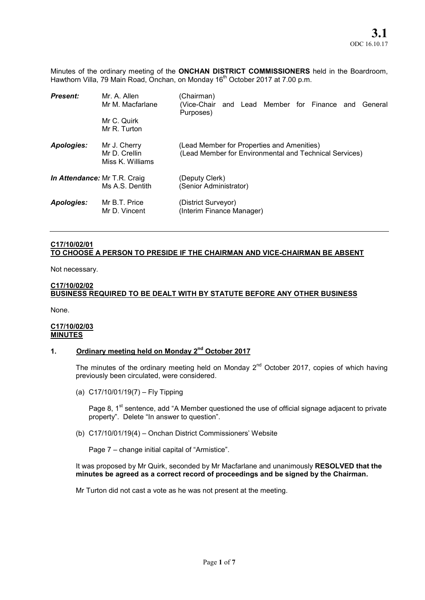Minutes of the ordinary meeting of the ONCHAN DISTRICT COMMISSIONERS held in the Boardroom, Hawthorn Villa, 79 Main Road, Onchan, on Monday 16<sup>th</sup> October 2017 at 7.00 p.m.

| <b>Present:</b>              | Mr. A. Allen<br>Mr M. Macfarlane                  | (Chairman)<br>(Vice-Chair<br>and Lead Member for Finance and<br>General<br>Purposes)                 |
|------------------------------|---------------------------------------------------|------------------------------------------------------------------------------------------------------|
|                              | Mr C. Quirk<br>Mr R. Turton                       |                                                                                                      |
| <b>Apologies:</b>            | Mr J. Cherry<br>Mr D. Crellin<br>Miss K. Williams | (Lead Member for Properties and Amenities)<br>(Lead Member for Environmental and Technical Services) |
| In Attendance: Mr T.R. Craig | Ms A.S. Dentith                                   | (Deputy Clerk)<br>(Senior Administrator)                                                             |
| Apologies:                   | Mr B.T. Price<br>Mr D. Vincent                    | (District Surveyor)<br>(Interim Finance Manager)                                                     |

## C17/10/02/01 TO CHOOSE A PERSON TO PRESIDE IF THE CHAIRMAN AND VICE-CHAIRMAN BE ABSENT

Not necessary.

## C17/10/02/02 BUSINESS REQUIRED TO BE DEALT WITH BY STATUTE BEFORE ANY OTHER BUSINESS

None.

### C17/10/02/03 **MINUTES**

# 1. Ordinary meeting held on Monday 2<sup>nd</sup> October 2017

The minutes of the ordinary meeting held on Monday  $2^{nd}$  October 2017, copies of which having previously been circulated, were considered.

(a) C17/10/01/19(7) – Fly Tipping

Page 8,  $1<sup>st</sup>$  sentence, add "A Member questioned the use of official signage adjacent to private property". Delete "In answer to question".

(b) C17/10/01/19(4) – Onchan District Commissioners' Website

Page 7 – change initial capital of "Armistice".

It was proposed by Mr Quirk, seconded by Mr Macfarlane and unanimously RESOLVED that the minutes be agreed as a correct record of proceedings and be signed by the Chairman.

Mr Turton did not cast a vote as he was not present at the meeting.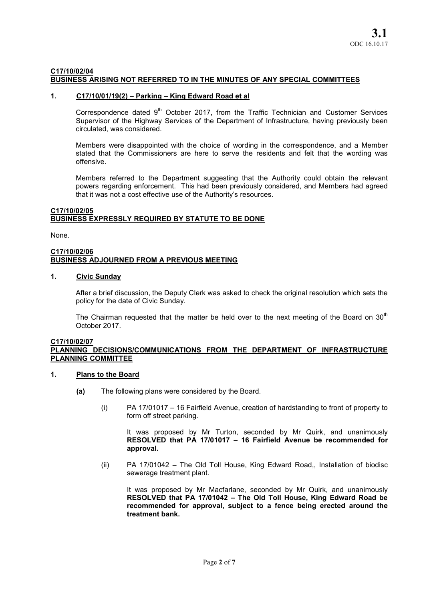### C17/10/02/04 BUSINESS ARISING NOT REFERRED TO IN THE MINUTES OF ANY SPECIAL COMMITTEES

## 1. C17/10/01/19(2) – Parking – King Edward Road et al

Correspondence dated  $9<sup>th</sup>$  October 2017, from the Traffic Technician and Customer Services Supervisor of the Highway Services of the Department of Infrastructure, having previously been circulated, was considered.

Members were disappointed with the choice of wording in the correspondence, and a Member stated that the Commissioners are here to serve the residents and felt that the wording was offensive.

Members referred to the Department suggesting that the Authority could obtain the relevant powers regarding enforcement. This had been previously considered, and Members had agreed that it was not a cost effective use of the Authority's resources.

## C17/10/02/05 BUSINESS EXPRESSLY REQUIRED BY STATUTE TO BE DONE

None.

#### C17/10/02/06 BUSINESS ADJOURNED FROM A PREVIOUS MEETING

# 1. Civic Sunday

After a brief discussion, the Deputy Clerk was asked to check the original resolution which sets the policy for the date of Civic Sunday.

The Chairman requested that the matter be held over to the next meeting of the Board on  $30<sup>th</sup>$ October 2017.

#### C17/10/02/07 PLANNING DECISIONS/COMMUNICATIONS FROM THE DEPARTMENT OF INFRASTRUCTURE PLANNING COMMITTEE

# 1. Plans to the Board

- (a) The following plans were considered by the Board.
	- (i) PA 17/01017 16 Fairfield Avenue, creation of hardstanding to front of property to form off street parking.

It was proposed by Mr Turton, seconded by Mr Quirk, and unanimously RESOLVED that PA 17/01017 – 16 Fairfield Avenue be recommended for approval.

(ii) PA 17/01042 – The Old Toll House, King Edward Road,, Installation of biodisc sewerage treatment plant.

It was proposed by Mr Macfarlane, seconded by Mr Quirk, and unanimously RESOLVED that PA 17/01042 – The Old Toll House, King Edward Road be recommended for approval, subject to a fence being erected around the treatment bank.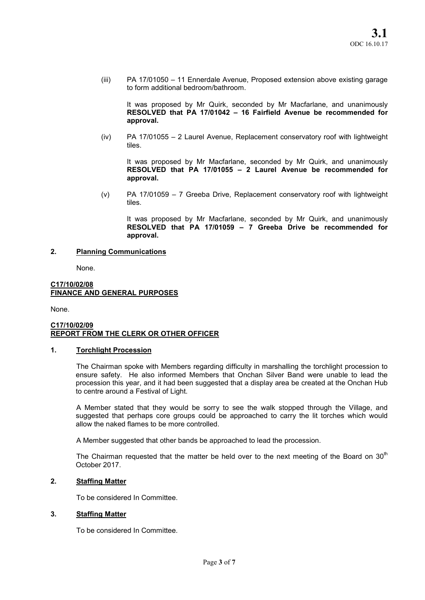(iii) PA 17/01050 – 11 Ennerdale Avenue, Proposed extension above existing garage to form additional bedroom/bathroom.

It was proposed by Mr Quirk, seconded by Mr Macfarlane, and unanimously RESOLVED that PA 17/01042 – 16 Fairfield Avenue be recommended for approval.

(iv) PA 17/01055 – 2 Laurel Avenue, Replacement conservatory roof with lightweight tiles.

It was proposed by Mr Macfarlane, seconded by Mr Quirk, and unanimously RESOLVED that PA 17/01055 – 2 Laurel Avenue be recommended for approval.

(v) PA 17/01059 – 7 Greeba Drive, Replacement conservatory roof with lightweight tiles.

It was proposed by Mr Macfarlane, seconded by Mr Quirk, and unanimously RESOLVED that PA 17/01059 – 7 Greeba Drive be recommended for approval.

# 2. Planning Communications

None.

### C17/10/02/08 FINANCE AND GENERAL PURPOSES

None.

## C17/10/02/09 REPORT FROM THE CLERK OR OTHER OFFICER

### 1. Torchlight Procession

The Chairman spoke with Members regarding difficulty in marshalling the torchlight procession to ensure safety. He also informed Members that Onchan Silver Band were unable to lead the procession this year, and it had been suggested that a display area be created at the Onchan Hub to centre around a Festival of Light.

A Member stated that they would be sorry to see the walk stopped through the Village, and suggested that perhaps core groups could be approached to carry the lit torches which would allow the naked flames to be more controlled.

A Member suggested that other bands be approached to lead the procession.

The Chairman requested that the matter be held over to the next meeting of the Board on  $30<sup>th</sup>$ October 2017.

# 2. Staffing Matter

To be considered In Committee.

# 3. Staffing Matter

To be considered In Committee.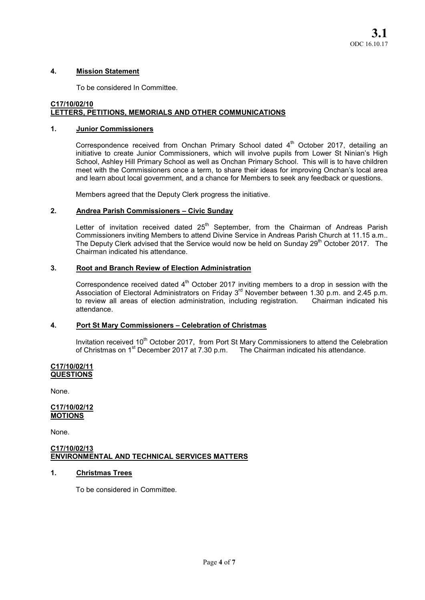## 4. Mission Statement

To be considered In Committee.

# C17/10/02/10 LETTERS, PETITIONS, MEMORIALS AND OTHER COMMUNICATIONS

## 1. Junior Commissioners

Correspondence received from Onchan Primary School dated  $4<sup>th</sup>$  October 2017, detailing an initiative to create Junior Commissioners, which will involve pupils from Lower St Ninian's High School, Ashley Hill Primary School as well as Onchan Primary School. This will is to have children meet with the Commissioners once a term, to share their ideas for improving Onchan's local area and learn about local government, and a chance for Members to seek any feedback or questions.

Members agreed that the Deputy Clerk progress the initiative.

# 2. Andrea Parish Commissioners – Civic Sunday

Letter of invitation received dated  $25<sup>th</sup>$  September, from the Chairman of Andreas Parish Commissioners inviting Members to attend Divine Service in Andreas Parish Church at 11.15 a.m.. The Deputy Clerk advised that the Service would now be held on Sunday 29<sup>th</sup> October 2017. The Chairman indicated his attendance.

# 3. Root and Branch Review of Election Administration

Correspondence received dated  $4<sup>th</sup>$  October 2017 inviting members to a drop in session with the Association of Electoral Administrators on Friday 3<sup>rd</sup> November between 1.30 p.m. and 2.45 p.m. to review all areas of election administration, including registration. Chairman indicated his attendance.

# 4. Port St Mary Commissioners – Celebration of Christmas

Invitation received 10<sup>th</sup> October 2017, from Port St Mary Commissioners to attend the Celebration of Christmas on 1<sup>st</sup> December 2017 at 7.30 p.m. The Chairman indicated his attendance.

#### C17/10/02/11 **QUESTIONS**

None.

## C17/10/02/12 MOTIONS

None.

### C17/10/02/13 ENVIRONMENTAL AND TECHNICAL SERVICES MATTERS

# 1. Christmas Trees

To be considered in Committee.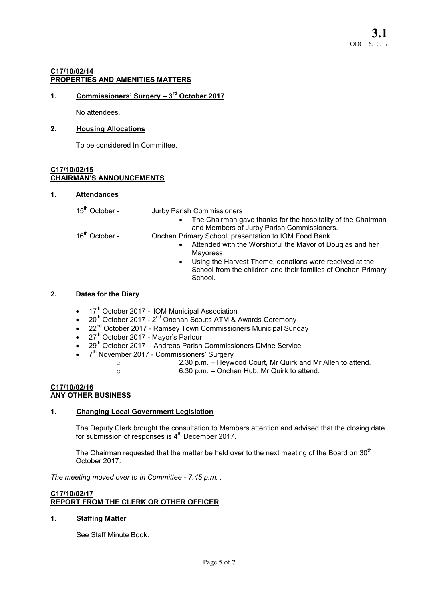# C17/10/02/14 PROPERTIES AND AMENITIES MATTERS

# 1. Commissioners' Surgery  $-3<sup>rd</sup>$  October 2017

No attendees.

# 2. Housing Allocations

To be considered In Committee.

#### C17/10/02/15 CHAIRMAN'S ANNOUNCEMENTS

## 1. Attendances

## 15<sup>th</sup> October - Jurby Parish Commissioners

 The Chairman gave thanks for the hospitality of the Chairman and Members of Jurby Parish Commissioners.

16<sup>th</sup> October - **Onchan Primary School, presentation to IOM Food Bank.** 

- Attended with the Worshipful the Mayor of Douglas and her Mayoress.
- Using the Harvest Theme, donations were received at the School from the children and their families of Onchan Primary School.

# 2. Dates for the Diary

- $\bullet$  17<sup>th</sup> October 2017 IOM Municipal Association
- 20<sup>th</sup> October 2017 2<sup>nd</sup> Onchan Scouts ATM & Awards Ceremony
- 22<sup>nd</sup> October 2017 Ramsey Town Commissioners Municipal Sunday
- $\bullet$  27<sup>th</sup> October 2017 Mayor's Parlour
- 29<sup>th</sup> October 2017 Andreas Parish Commissioners Divine Service
- 7<sup>th</sup> November 2017 Commissioners' Surgery
	- o 2.30 p.m. Heywood Court, Mr Quirk and Mr Allen to attend.
	- o 6.30 p.m. Onchan Hub, Mr Quirk to attend.

## C17/10/02/16 ANY OTHER BUSINESS

# 1. Changing Local Government Legislation

The Deputy Clerk brought the consultation to Members attention and advised that the closing date for submission of responses is 4<sup>th</sup> December 2017.

The Chairman requested that the matter be held over to the next meeting of the Board on 30<sup>th</sup> October 2017.

*The meeting moved over to In Committee - 7.45 p.m. .* 

# C17/10/02/17 REPORT FROM THE CLERK OR OTHER OFFICER

# 1. Staffing Matter

See Staff Minute Book.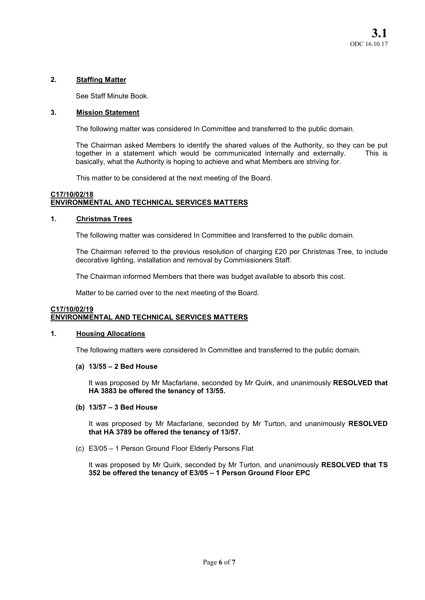# 2. Staffing Matter

See Staff Minute Book.

# 3. Mission Statement

The following matter was considered In Committee and transferred to the public domain.

The Chairman asked Members to identify the shared values of the Authority, so they can be put together in a statement which would be communicated internally and externally. This is basically, what the Authority is hoping to achieve and what Members are striving for.

This matter to be considered at the next meeting of the Board.

# C17/10/02/18 ENVIRONMENTAL AND TECHNICAL SERVICES MATTERS

# 1. Christmas Trees

The following matter was considered In Committee and transferred to the public domain.

The Chairman referred to the previous resolution of charging £20 per Christmas Tree, to include decorative lighting, installation and removal by Commissioners Staff.

The Chairman informed Members that there was budget available to absorb this cost.

Matter to be carried over to the next meeting of the Board.

# C17/10/02/19 ENVIRONMENTAL AND TECHNICAL SERVICES MATTERS

# 1. Housing Allocations

The following matters were considered In Committee and transferred to the public domain.

# (a) 13/55 – 2 Bed House

It was proposed by Mr Macfarlane, seconded by Mr Quirk, and unanimously RESOLVED that HA 3883 be offered the tenancy of 13/55.

# (b) 13/57 – 3 Bed House

It was proposed by Mr Macfarlane, seconded by Mr Turton, and unanimously RESOLVED that HA 3789 be offered the tenancy of 13/57.

(c) E3/05 – 1 Person Ground Floor Elderly Persons Flat

It was proposed by Mr Quirk, seconded by Mr Turton, and unanimously RESOLVED that TS 352 be offered the tenancy of E3/05 – 1 Person Ground Floor EPC